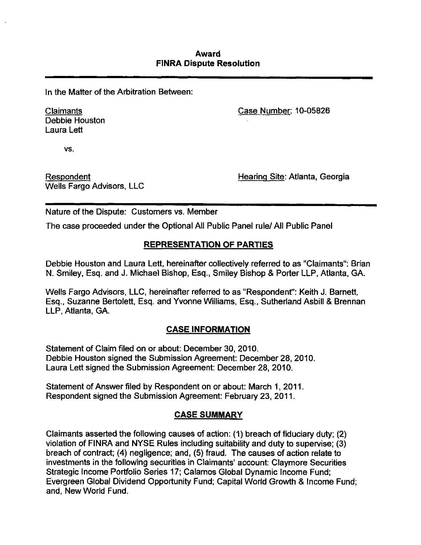In the Matter of the Arbitration Between:

Debbie Houston Laura Lett

Claimants Case Number: 10-05826

vs.

Wells Fargo Advisors, LLC

Respondent **Respondent** Respondent European Mearing Site: Atlanta, Georgia

Nature of the Dispute: Customers vs. Member

The case proceeded under the Optional All Public Panel rule/ All Public Panel

# **REPRESENTATION OF PARTIES**

Debbie Houston and Laura Lett, hereinafter collectively referred to as "Claimants": Brian N. Smiley, Esq. and J. Michael Bishop, Esq., Smiley Bishop & Porter LLP, Atianta, GA.

Wells Fargo Advisors, LLC, hereinafter referred to as "Respondent": Keith J. Barnett, Esq., Suzanne Bertolett, Esq. and Yvonne Williams, Esq., Sutheriand Asbill & Brennan LLP, Atianta, GA.

# **CASE INFORMATION**

Statement of Claim filed on or about: December 30, 2010. Debbie Houston signed the Submission Agreement: December 28, 2010. Laura Lett signed the Submission Agreement: December 28, 2010.

Statement of Answer filed by Respondent on or about: March 1, 2011. Respondent signed the Submission Agreement: February 23, 2011.

# **CASE SUMMARY**

Claimants asserted the following causes of action: (1) breach of fiduciary duty; (2) violation of FINRA and NYSE Rules including suitability and duty to supervise; (3) breach of contract; (4) negligence; and, (5) fraud. The causes of action relate to investments in the following securities in Claimants' account: Claymore Securities Strategic Income Portfolio Series 17; Calamos Global Dynamic Income Fund; Evergreen Global Dividend Opportunity Fund; Capital World Growth & Income Fund; and. New World Fund.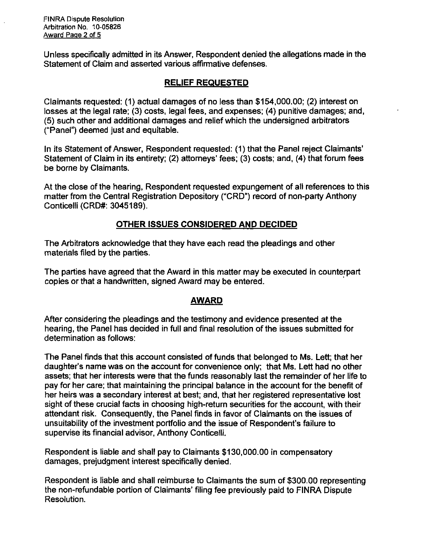FINRA Dispute Resolution Arbitration No. 10-05826 Award Page 2 of 5

Unless specifically admitted in its Answer, Respondent denied the allegations made in the Statement of Claim and asserted various affirmative defenses.

# **RELIEF REQUESTED**

Claimants requested: (1) actual damages of no less than \$154,000.00; (2) interest on losses at the legal rate; (3) costs, legal fees, and expenses; (4) punitive damages; and, (5) such other and additional damages and relief which the undersigned arbitrators ("Panel") deemed just and equitable.

In its Statement of Answer, Respondent requested: (1) that the Panel reject Claimants' Statement of Claim in its entirety; (2) attorneys' fees; (3) costs; and, (4) that forum fees be borne by Claimants.

At the close of the hearing. Respondent requested expungement of all references to this matter from the Central Registration Depository ("CRD") record of non-party Anthony Conticelli (CRD#: 3045189).

# **OTHER ISSUES CONSIDERED AND DECIDED**

The Arbitrators acknowledge that they have each read the pleadings and other materials filed by the parties.

The parties have agreed that the Award in this matter may be executed in counterpart copies or that a handwritten, signed Award may be entered.

# **AWARD**

After considering the pleadings and the testimony and evidence presented at the hearing, the Panel has decided in full and final resolution of the issues submitted for determination as follows:

The Panel finds that this account consisted of funds that belonged to Ms. Lett; that her daughter's name was on the account for convenience only; that Ms. Lett had no other assets; that her interests were that the funds reasonably last the remainder of her life to pay for her care; that maintaining the principal balance in the account for the benefit of her heirs was a secondary interest at best; and, that her registered representative lost sight of these crucial facts in choosing high-return securities for the account, with their attendant risk. Consequently, the Panel finds in favor of Claimants on the issues of unsuitability of the investment portfolio and the issue of Respondent's failure to supervise its financial advisor, Anthony Conticelli.

Respondent is liable and shall pay to Claimants \$130,000.00 in compensatory damages, prejudgment interest specifically denied.

Respondent is liable and shall reimburse to Claimants the sum of \$300.00 representing the non-refundable portion of Claimants' filing fee previously paid to FINRA Dispute Resolution.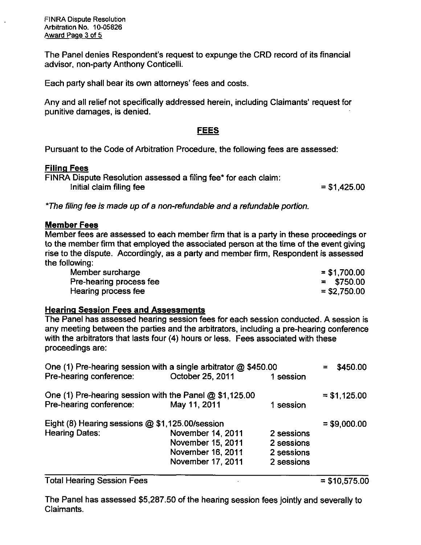FINRA Dispute Resolution Arbitration No. 10-05826 Award Page 3 of 5

The Panel denies Respondent's request to expunge the CRD record of its financial advisor, non-party Anthony Conticelli.

Each party shall bear its own attorneys' fees and costs.

Any and all relief not specifically addressed herein, including Claimants' request for punitive damages, is denied.

### **FEES**

**Pursuant to the Code of Arbitration Procedure, the following fees are assessed:** 

### **Filing Fees**

FINRA Dispute Resolution assessed a filing fee\* for each claim:  $Initial$  claim filing fee  $= $1,425.00$ 

\*The filing fee is made up of a non-refundable and a refundable portion.

### **Member Fees**

Member fees are assessed to each member firm that is a party in these proceedings or to the member firm that employed the associated person at the time of the event giving rise to the dispute. Accordingly, as a party and member firm. Respondent is assessed the following:

| Member surcharge        | $= $1,700.00$  |
|-------------------------|----------------|
| Pre-hearing process fee | $=$ \$750.00   |
| Hearing process fee     | $=$ \$2,750.00 |

### **Hearing Session Fees and Assessmente**

The Panel has assessed hearing session fees for each session conducted. A session is any meeting between the parties and the arbitrators, including a pre-hearing conference with the arbitrators that lasts four (4) hours or less. Fees associated with these proceedings are:

| One (1) Pre-hearing session with a single arbitrator $\omega$ \$450.00 |                   |            | \$450.00      |
|------------------------------------------------------------------------|-------------------|------------|---------------|
| Pre-hearing conference:                                                | October 25, 2011  | 1 session  |               |
| One (1) Pre-hearing session with the Panel @ \$1,125.00                |                   |            | $= $1,125.00$ |
| Pre-hearing conference:                                                | May 11, 2011      | 1 session  |               |
| Eight (8) Hearing sessions @ \$1,125.00/session                        |                   |            | $= $9,000.00$ |
| <b>Hearing Dates:</b>                                                  | November 14, 2011 | 2 sessions |               |
|                                                                        | November 15, 2011 | 2 sessions |               |
|                                                                        | November 16, 2011 | 2 sessions |               |
|                                                                        | November 17, 2011 | 2 sessions |               |
|                                                                        |                   |            |               |

Total Hearing Session Fees  $= $10,575.00$ 

The Panel has assessed \$5,287.50 of the hearing session fees jointly and severally to Claimants.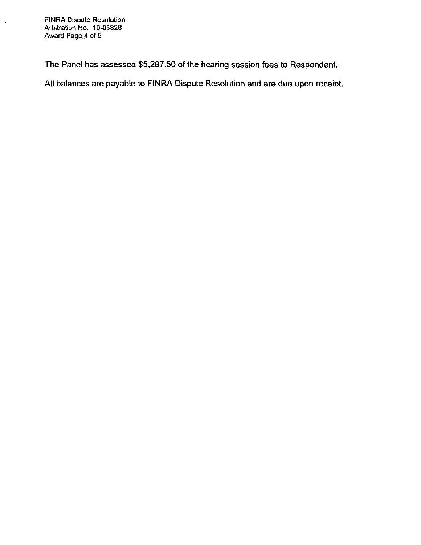FINRA Dispute Resolution Arbitration No. 10-05826 Award Page 4 of 5

 $\ddot{\phantom{a}}$ 

**The Panel has assessed \$5,287.50 of the hearing session fees to Respondent.** 

**All balances are payable to FINRA Dispute Resolution and are due upon receipt.** 

 $\omega_{\rm c}$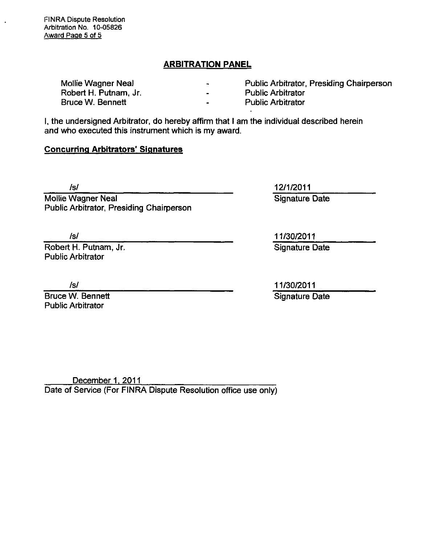FINRA Dispute Resolution Arbitration No. 10-05826 Award Page 5 of 5

## **ARBITRATION PANEL**

| Mollie Wagner Neal    | $\overline{\phantom{a}}$ | <b>Public Arbitrator, Presiding Chairperson</b> |
|-----------------------|--------------------------|-------------------------------------------------|
| Robert H. Putnam, Jr. | $\overline{\phantom{a}}$ | <b>Public Arbitrator</b>                        |
| Bruce W. Bennett      | $\overline{\phantom{0}}$ | <b>Public Arbitrator</b>                        |

I, the undersigned Arbitrator, do hereby affirm that I am the individual described herein and who executed this instrument which is my award.

### **Concurring Arbitrators' Signatures**

Mollie Wagner Neal **Neal Signature Date** Public Arbitrator, Presiding Chairperson

Robert H. Putnam, Jr. Signature Date Public Arbitrator

Bruce W. Bennett Signature Date Public Arbitrator

Is/ 12/1/2011

/s/ 11/30/2011

/s/ 11/30/2011

December 1. 2011 Date of Service (For FINRA Dispute Resolution office use only)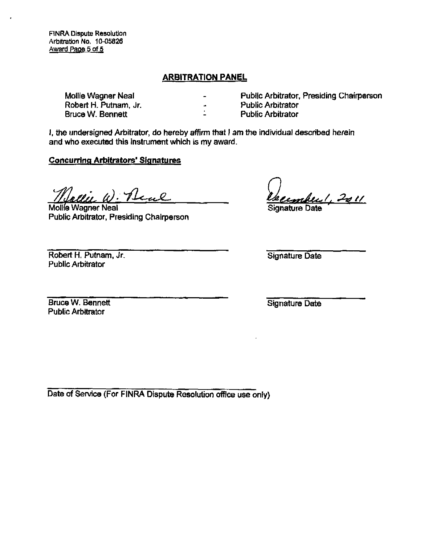FINRA Dispute Resolution Arbitration No. 10-05826 Award Page 5 of 5

### **ARBITRATION PANEL**

u,

Mollie Wagner Neal Robert H. Putnam, Jr. Bruce W. Bennett

Public Arbitrator, Presiding Chairperson Public Arbitrator Public Arbitrator

I, the undersigned Arbitrator, do hereby affirm that I am the individual described herein and who executed this instrument which is my award.

### Concurring Arbitrators' Siqnatures

Jollie W. Real

Mollie Wagner Neal Public Arbitrator, Presiding Chairperson

mberl, 2011

Signature Date

Robert H. Putnam, Jr. Public Arbitrator

Signature Date

Bruce W. Bennett Public Arbitrator

Signature Date

Date of Service (For FINRA Dispute Resolution office use only)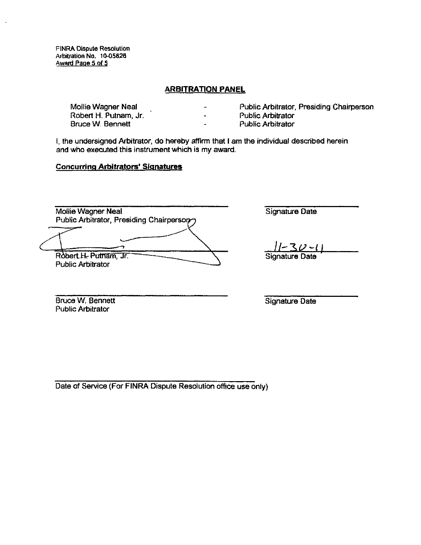FINRA Dispute Resolution Arbitration No. 10-05828 Award Paoe 5 of 5

#### **ARBITRATION PANEL**

| Mollie Wagner Neal    | $\overline{\phantom{a}}$ | Public Arbitrator, Presiding Chairperson |
|-----------------------|--------------------------|------------------------------------------|
| Robert H. Putnam, Jr. | -                        | <b>Public Arbitrator</b>                 |
| Bruce W. Bennett      | $\bullet$                | <b>Public Arbitrator</b>                 |

I, the undersigned Arbitrator, do hereby affirm that I am the individual described herein and who executed this instrument which is my award.

#### **Concurring Arbitrators' Signatures**

Mollie Wagner Neal Public Arbitrator, Presiding Chairpersory

Robert H. Putnam, Jr. Public Arbitrator

Signature Date

Signature Date

Bruce W. Bennett Public Arbitrator

Signature Date

Date of Service (For FINRA Dispute Resolution office use only)